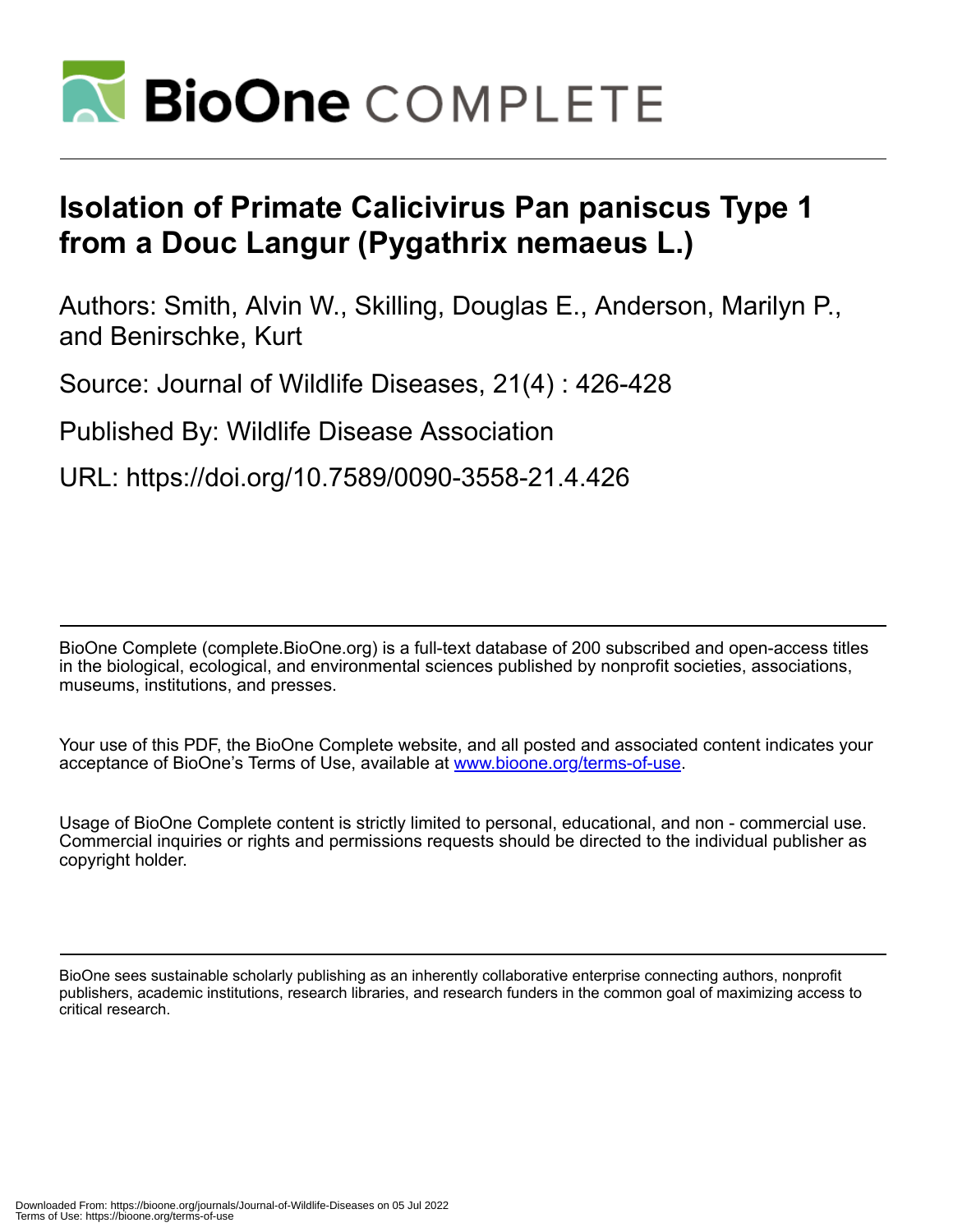

## **Isolation of Primate Calicivirus Pan paniscus Type 1 from a Douc Langur (Pygathrix nemaeus L.)**

Authors: Smith, Alvin W., Skilling, Douglas E., Anderson, Marilyn P., and Benirschke, Kurt

Source: Journal of Wildlife Diseases, 21(4) : 426-428

Published By: Wildlife Disease Association

URL: https://doi.org/10.7589/0090-3558-21.4.426

BioOne Complete (complete.BioOne.org) is a full-text database of 200 subscribed and open-access titles in the biological, ecological, and environmental sciences published by nonprofit societies, associations, museums, institutions, and presses.

Your use of this PDF, the BioOne Complete website, and all posted and associated content indicates your acceptance of BioOne's Terms of Use, available at www.bioone.org/terms-of-use.

Usage of BioOne Complete content is strictly limited to personal, educational, and non - commercial use. Commercial inquiries or rights and permissions requests should be directed to the individual publisher as copyright holder.

BioOne sees sustainable scholarly publishing as an inherently collaborative enterprise connecting authors, nonprofit publishers, academic institutions, research libraries, and research funders in the common goal of maximizing access to critical research.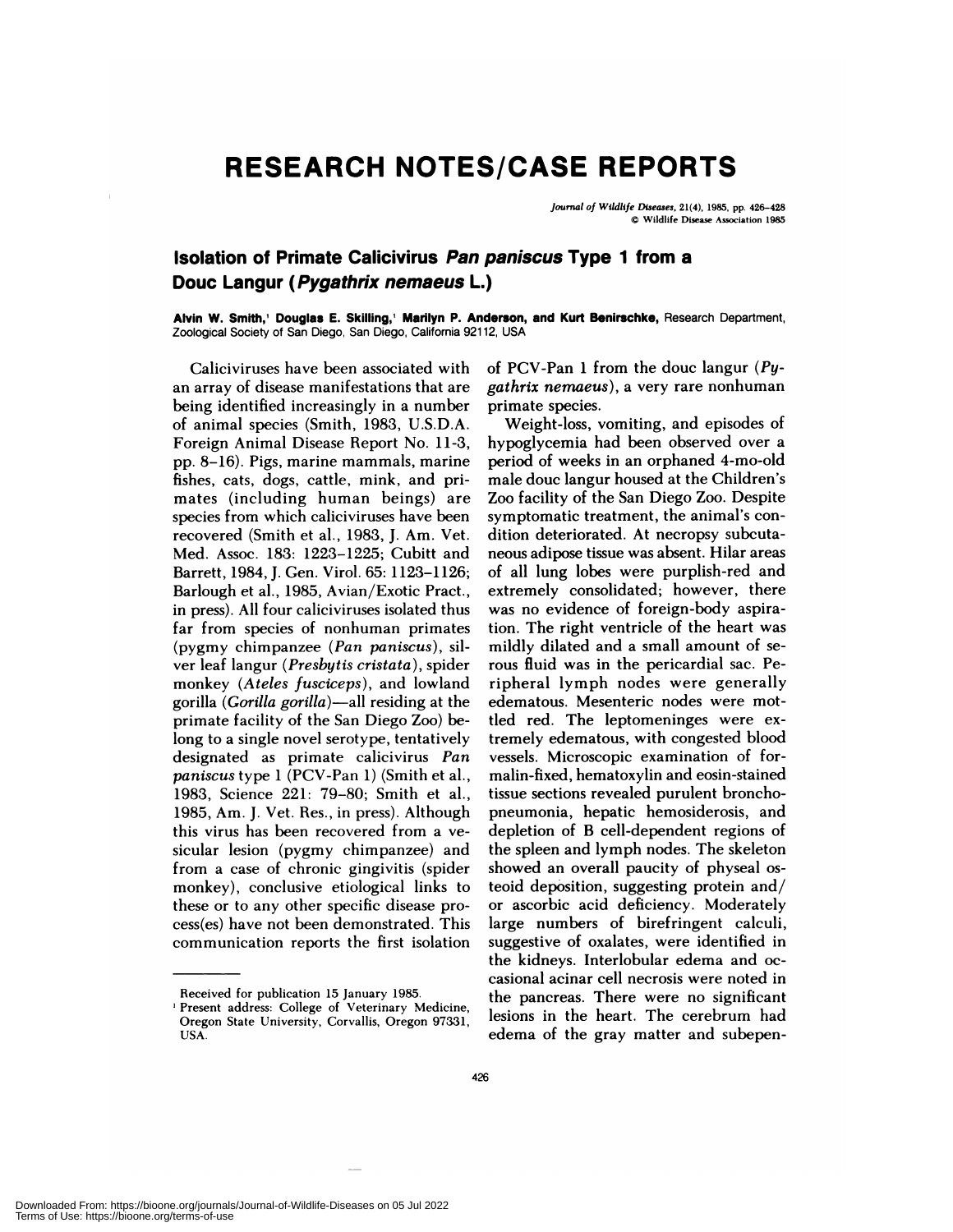## **RESEARCH NOTES/CASE REPORTS**

*Journal of Wildlife Diseases,* 21(4), 1985, **pp.** 426-428 © Wildlife Disease Association 1985

## **Isolation of Primate Calicivirus Pan paniscus Type 1 from a Douc Langur (Pygathrix nemaeus L.)**

**Alvin W. Smith,' Douglas E. Skilling,'** Marilyn **P. Anderson, and** Kurt Benirschke, Research Department, Zoological Society of San Diego, San Diego, California 92112, USA

Calicivinuses have been associated with an array of disease manifestations that are being identified increasingly in a number of animal species (Smith, 1983, U.S.D.A. Foreign Animal Disease Report No. 11-3, pp. 8-16). Pigs, marine mammals, marine fishes, cats, dogs, cattle, mink, and primates (including human beings) are species from which caliciviruses have been recovered (Smith et a!., 1983, J. Am. Vet. Med. Assoc. 183: 1223-1225; Cubitt and Barrett, 1984, J. Gen. Viro!. 65: 1123-1126; Barlough et al., 1985, Avian/Exotic Pract., in press). Al! four caliciviruses isolated thus far from species of nonhuman primates (pygmy chimpanzee *(Pan paniscus),* sil ver leaf langur *(Presbytis cristata),* spider monkey *(Ateles fusciceps),* and lowland gorilla *(Gorilla gorilla)-a!!* residing at the primate facility of the San Diego Zoo) belong to a single novel serotype, tentatively designated as primate calicivirus *Pan paniscus* type 1 (PCV-Pan 1) (Smith et al., 1983, Science 221: 79-80; Smith et al., 1985, Am. J. Vet. Res., in press). Although this virus has been recovered from a ve sicular lesion (pygmy chimpanzee) and from a case of chronic gingivitis (spider monkey), conclusive etiological links to these or to any other specific disease process(es) have not been demonstrated. This communication reports the first isolation

of PCV-Pan 1 from the douc langur *(Pygathrix nernaeus),* a very rare nonhuman primate species.

Weight-loss, vomiting, and episodes of hypoglycemia had been observed over a period of weeks in an orphaned 4-mo-old male douc langur housed at the Children's Zoo facility of the San Diego Zoo. Despite symptomatic treatment, the animal's con dition deteriorated. At necropsy subcuta neous adipose tissue was absent. Hilar areas of all lung lobes were purplish-red and extremely consolidated; however, there was no evidence of foreign-body aspiration. The right ventricle of the heart was mildly dilated and a small amount of se nous fluid was in the penicardial sac. Peripheral lymph nodes were generally edematous. Mesentenic nodes were mottled red. The leptomeninges were extremely edematous, with congested blood vessels. Microscopic examination of formalin-fixed, hematoxylin and eosin-stained tissue sections revealed purulent bronchopneumonia, hepatic hemosiderosis, and depletion of B cell-dependent regions of the spleen and lymph nodes. The skeleton showed an overall paucity of physeal osteoid deposition, suggesting protein and/ or ascorbic acid deficiency. Moderately large numbers of birefringent calculi, suggestive of oxalates, were identified in the kidneys. Interlobular edema and oc casional acinar cell necrosis were noted in the pancreas. There were no significant lesions in the heart. The cerebrum had edema of the gray matter and subepen-

Downloaded From: https://bioone.org/journals/Journal-of-Wildlife-Diseases on 05 Jul 2022 Terms of Use: https://bioone.org/terms-of-use

Received for publication 15 January 1985.

<sup>&#</sup>x27;Present address: College of Veterinary Medicine, Oregon State University, Corvallis, Oregon 97331, USA.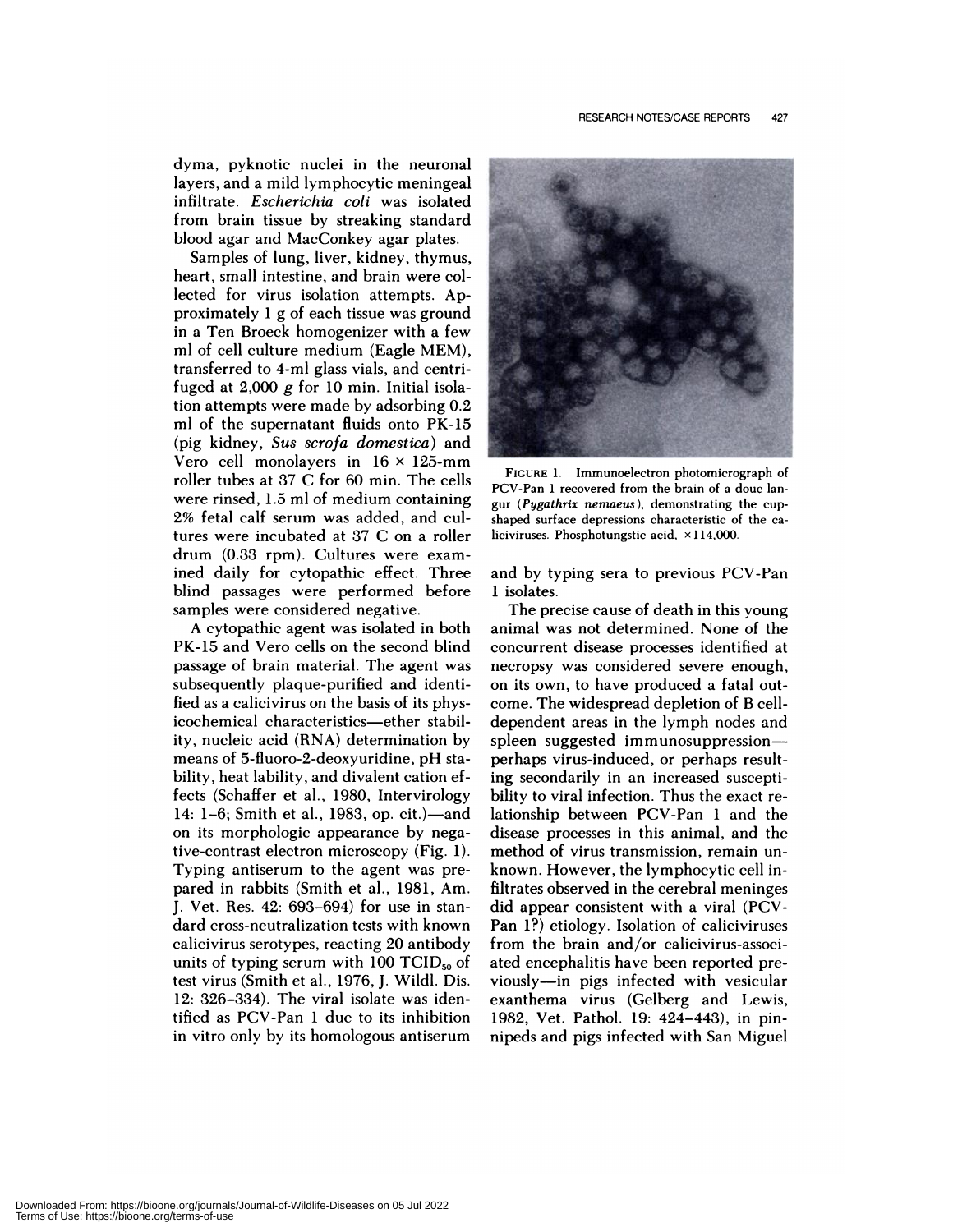dyma, pyknotic nuclei in the neuronal layers, and a mild lymphocytic meningeal infiltrate. *Escherichia coli* was isolated from brain tissue by streaking standard blood agan and MacConkey agan plates.

Samples of lung, liver, kidney, thymus, heart, small intestine, and brain were co! lected for virus isolation attempts. Approximately  $1$  g of each tissue was ground in a Ten Broeck homogenizer with a few ml of cell culture medium (Eagle MEM), transferred to 4-ml glass vials, and centrifuged at  $2,000$  g for 10 min. Initial isolation attempts were made by adsorbing 0.2 ml of the supernatant fluids onto PK-15 (pig kidney, *Sus scrofa domestica)* and Vero cell monolayers in  $16 \times 125$ -mm roller tubes at 37 C for 60 min. The cells were rinsed, 1.5 ml of medium containing 2% fetal calf serum was added, and cu! tures were incubated at 37 C on a roller drum (0.33 rpm). Cultures were examined daily for cytopathic effect. Three blind passages were performed before samples were considered negative.

A cytopathic agent was isolated in both PK-15 and Vero cells on the second blind passage of brain material. The agent was subsequently plaque-purified and identified as a calicivinus on the basis of its physicochemical characteristics-ether stability, nucleic acid (RNA) determination by means of 5-fluoro-2-deoxyunidine, pH sta bility, heat lability, and divalent cation effects (Schaffer et al., 1980, Intervirology 14: 1-6; Smith et al., 1983, op. cit.)-and on its morphologic appearance by negative-contrast electron microscopy (Fig. 1). Typing antiserum to the agent was prepared in rabbits (Smith et al., 1981, Am. J. Vet. Res. 42: 693-694) for use in standard cross-neutralization tests with known calicivirus serotypes, reacting 20 antibody units of typing serum with 100  $TCID_{50}$  of test virus (Smith et a!., 1976, J. Wild!. Dis. 12: 326-334). The viral isolate was identified as PCV-Pan 1 due to its inhibition in vitro only by its homologous antiserum



**FIGURE** 1. Immunoelectron photomicrograph of PCV-Pan 1 recovered from the brain of a douc lan gur *(Pygathrix nemaeus),* demonstrating the cup shaped surface depressions characteristic of the ca liciviruses. Phosphotungstic acid,  $\times$ 114,000.

and by typing sera to previous PCV-Pan 1 isolates.

The precise cause of death in this young animal was not determined. None of the concurrent disease processes identified at necropsy was considered severe enough, on its own, to have produced a fatal out come. The widespread depletion of B celldependent areas in the lymph nodes and spleen suggested immunosuppressionperhaps virus-induced, or perhaps resulting secondarily in an increased susceptibility to viral infection. Thus the exact relationship between PCV-Pan 1 and the disease processes in this animal, and the method of virus transmission, remain un known. However, the !ymphocytic cell infiltrates observed in the cerebral meninges did appear consistent with a viral (PCV-Pan 1?) etiology. Isolation of caliciviruses from the brain and/or calicivirus-associated encephalitis have been reported previously—in pigs infected with vesicular exanthema virus (Gelberg and Lewis, 1982, Vet. Pathol. 19: 424-443), in pinnipeds and pigs infected with San Miguel